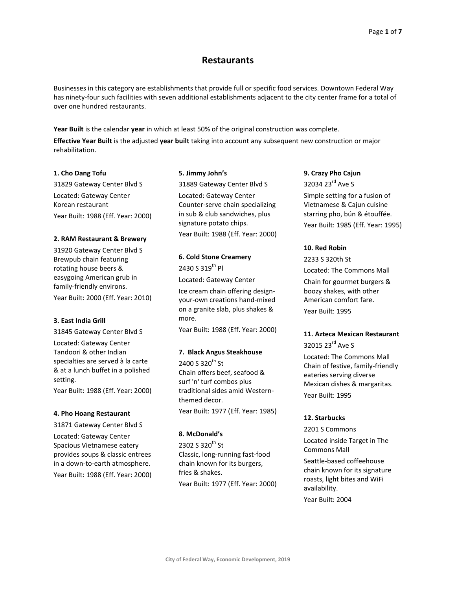# **Restaurants**

Businesses in this category are establishments that provide full or specific food services. Downtown Federal Way has ninety-four such facilities with seven additional establishments adjacent to the city center frame for a total of over one hundred restaurants.

**Year Built** is the calendar **year** in which at least 50% of the original construction was complete.

**Effective Year Built** is the adjusted **year built** taking into account any subsequent new construction or major rehabilitation.

### **1. Cho Dang Tofu**

31829 Gateway Center Blvd S Located: Gateway Center Korean restaurant Year Built: 1988 (Eff. Year: 2000)

#### **2. RAM Restaurant & Brewery**

31920 Gateway Center Blvd S Brewpub chain featuring rotating house beers & easygoing American grub in family-friendly environs. Year Built: 2000 (Eff. Year: 2010)

#### **3. East India Grill**

31845 Gateway Center Blvd S Located: Gateway Center Tandoori & other Indian specialties are served à la carte & at a lunch buffet in a polished setting.

Year Built: 1988 (Eff. Year: 2000)

#### **4. Pho Hoang Restaurant**

31871 Gateway Center Blvd S Located: Gateway Center Spacious Vietnamese eatery provides soups & classic entrees in a down-to-earth atmosphere. Year Built: 1988 (Eff. Year: 2000)

#### **5. Jimmy John's**

31889 Gateway Center Blvd S Located: Gateway Center Counter-serve chain specializing in sub & club sandwiches, plus signature potato chips. Year Built: 1988 (Eff. Year: 2000)

# **6. Cold Stone Creamery**

2430 S 319<sup>th</sup> Pl Located: Gateway Center Ice cream chain offering designyour-own creations hand-mixed on a granite slab, plus shakes & more.

Year Built: 1988 (Eff. Year: 2000)

### **7. Black Angus Steakhouse**

2400 S 320<sup>th</sup> St Chain offers beef, seafood & surf 'n' turf combos plus traditional sides amid Westernthemed decor.

Year Built: 1977 (Eff. Year: 1985)

### **8. McDonald's**

2302 S 320<sup>th</sup> St Classic, long-running fast-food chain known for its burgers, fries & shakes. Year Built: 1977 (Eff. Year: 2000)

### **9. Crazy Pho Cajun**

32034 23<sup>rd</sup> Ave S Simple setting for a fusion of Vietnamese & Cajun cuisine starring pho, bún & étouffée. Year Built: 1985 (Eff. Year: 1995)

### **10. Red Robin**

2233 S 320th St

Located: The Commons Mall Chain for gourmet burgers & boozy shakes, with other American comfort fare. Year Built: 1995

#### **11. Azteca Mexican Restaurant**

32015 23<sup>rd</sup> Ave S

Located: The Commons Mall Chain of festive, family-friendly eateries serving diverse Mexican dishes & margaritas. Year Built: 1995

### **12. Starbucks**

2201 S Commons

Located inside Target in The Commons Mall

Seattle-based coffeehouse chain known for its signature roasts, light bites and WiFi availability.

Year Built: 2004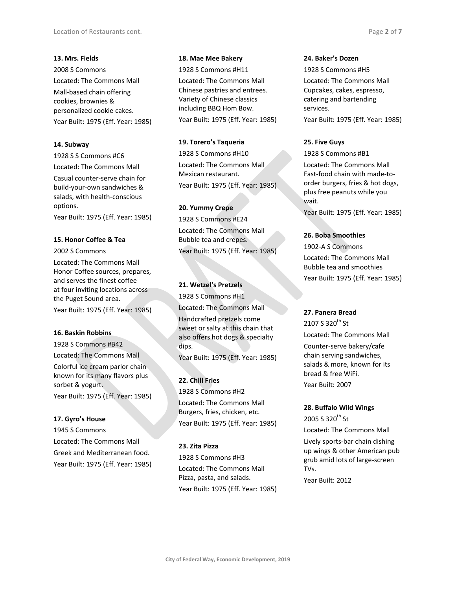### **13. Mrs. Fields**

2008 S Commons Located: The Commons Mall Mall-based chain offering cookies, brownies & personalized cookie cakes. Year Built: 1975 (Eff. Year: 1985)

### **14. Subway**

1928 S S Commons #C6 Located: The Commons Mall

Casual counter-serve chain for build-your-own sandwiches & salads, with health-conscious options.

Year Built: 1975 (Eff. Year: 1985)

### **15. Honor Coffee & Tea**

2002 S Commons

Located: The Commons Mall Honor Coffee sources, prepares, and serves the finest coffee at four inviting locations across the Puget Sound area.

Year Built: 1975 (Eff. Year: 1985)

### **16. Baskin Robbins**

1928 S Commons #B42

Located: The Commons Mall

Colorful ice cream parlor chain known for its many flavors plus sorbet & yogurt. Year Built: 1975 (Eff. Year: 1985)

### **17. Gyro's House**

1945 S Commons Located: The Commons Mall Greek and Mediterranean food.

Year Built: 1975 (Eff. Year: 1985)

### **18. Mae Mee Bakery**

1928 S Commons #H11

Located: The Commons Mall Chinese pastries and entrees. Variety of Chinese classics including BBQ Hom Bow. Year Built: 1975 (Eff. Year: 1985)

### **19. Torero's Taqueria**

1928 S Commons #H10 Located: The Commons Mall Mexican restaurant. Year Built: 1975 (Eff. Year: 1985)

### **20. Yummy Crepe**

1928 S Commons #E24 Located: The Commons Mall Bubble tea and crepes. Year Built: 1975 (Eff. Year: 1985)

### **21. Wetzel's Pretzels**

1928 S Commons #H1 Located: The Commons Mall Handcrafted pretzels come sweet or salty at this chain that also offers hot dogs & specialty dips.

Year Built: 1975 (Eff. Year: 1985)

### **22. Chili Fries**

1928 S Commons #H2 Located: The Commons Mall Burgers, fries, chicken, etc. Year Built: 1975 (Eff. Year: 1985)

### **23. Zita Pizza**

1928 S Commons #H3 Located: The Commons Mall Pizza, pasta, and salads. Year Built: 1975 (Eff. Year: 1985)

### **24. Baker's Dozen**

1928 S Commons #H5 Located: The Commons Mall Cupcakes, cakes, espresso, catering and bartending services. Year Built: 1975 (Eff. Year: 1985)

### **25. Five Guys**

1928 S Commons #B1

Located: The Commons Mall Fast-food chain with made-toorder burgers, fries & hot dogs, plus free peanuts while you wait.

Year Built: 1975 (Eff. Year: 1985)

### **26. Boba Smoothies**

1902-A S Commons Located: The Commons Mall Bubble tea and smoothies Year Built: 1975 (Eff. Year: 1985)

### **27. Panera Bread**

2107 S 320<sup>th</sup> St Located: The Commons Mall Counter-serve bakery/cafe chain serving sandwiches, salads & more, known for its bread & free WiFi. Year Built: 2007

### **28. Buffalo Wild Wings**

2005 S 320<sup>th</sup> St Located: The Commons Mall Lively sports-bar chain dishing up wings & other American pub grub amid lots of large-screen TVs.

Year Built: 2012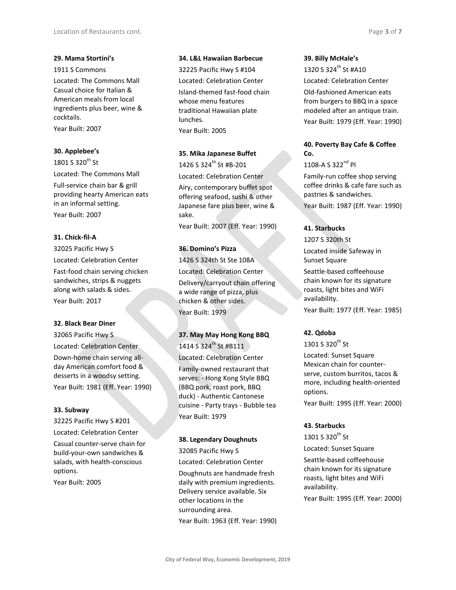### **29. Mama Stortini's**

1911 S Commons

Located: The Commons Mall Casual choice for Italian & American meals from local ingredients plus beer, wine & cocktails.

Year Built: 2007

### **30. Applebee's**

1801 S 320 $th$  St Located: The Commons Mall Full-service chain bar & grill providing hearty American eats in an informal setting. Year Built: 2007

### **31. Chick-fil-A**

32025 Pacific Hwy S Located: Celebration Center Fast-food chain serving chicken sandwiches, strips & nuggets along with salads & sides. Year Built: 2017

### **32. Black Bear Diner**

32065 Pacific Hwy S Located: Celebration Center Down-home chain serving allday American comfort food & desserts in a woodsy setting. Year Built: 1981 (Eff. Year: 1990)

### **33. Subway**

32225 Pacific Hwy S #201 Located: Celebration Center

Casual counter-serve chain for build-your-own sandwiches & salads, with health-conscious options.

Year Built: 2005

### **34. L&L Hawaiian Barbecue**

32225 Pacific Hwy S #104 Located: Celebration Center Island-themed fast-food chain whose menu features traditional Hawaiian plate lunches.

Year Built: 2005

### **35. Mika Japanese Buffet**

1426 S 324<sup>th</sup> St #B-201

Located: Celebration Center

Airy, contemporary buffet spot offering seafood, sushi & other Japanese fare plus beer, wine & sake.

Year Built: 2007 (Eff. Year: 1990)

### **36. Domino's Pizza**

1426 S 324th St Ste 108A Located: Celebration Center Delivery/carryout chain offering a wide range of pizza, plus chicken & other sides. Year Built: 1979

# **37. May May Hong Kong BBQ** 1414 S 324<sup>th</sup> St #B111

Located: Celebration Center

Family-owned restaurant that serves: - Hong Kong Style BBQ (BBQ pork, roast pork, BBQ duck) - Authentic Cantonese cuisine - Party trays - Bubble tea Year Built: 1979

### **38. Legendary Doughnuts**

32085 Pacific Hwy S Located: Celebration Center Doughnuts are handmade fresh daily with premium ingredients. Delivery service available. Six other locations in the surrounding area.

Year Built: 1963 (Eff. Year: 1990)

### **39. Billy McHale's**

1320 S 324th St #A10 Located: Celebration Center Old-fashioned American eats from burgers to BBQ in a space modeled after an antique train. Year Built: 1979 (Eff. Year: 1990)

### **40. Poverty Bay Cafe & Coffee Co.**

 $1108 - A S 322^{nd} Pl$ 

Family-run coffee shop serving coffee drinks & cafe fare such as pastries & sandwiches.

Year Built: 1987 (Eff. Year: 1990)

### **41. Starbucks**

1207 S 320th St

Located inside Safeway in Sunset Square Seattle-based coffeehouse chain known for its signature roasts, light bites and WiFi availability. Year Built: 1977 (Eff. Year: 1985)

### **42. Qdoba**

1301 S 320<sup>th</sup> St

Located: Sunset Square Mexican chain for counterserve, custom burritos, tacos & more, including health-oriented options. Year Built: 1995 (Eff. Year: 2000)

### **43. Starbucks**

1301 S 320<sup>th</sup> St

Located: Sunset Square

Seattle-based coffeehouse chain known for its signature roasts, light bites and WiFi availability. Year Built: 1995 (Eff. Year: 2000)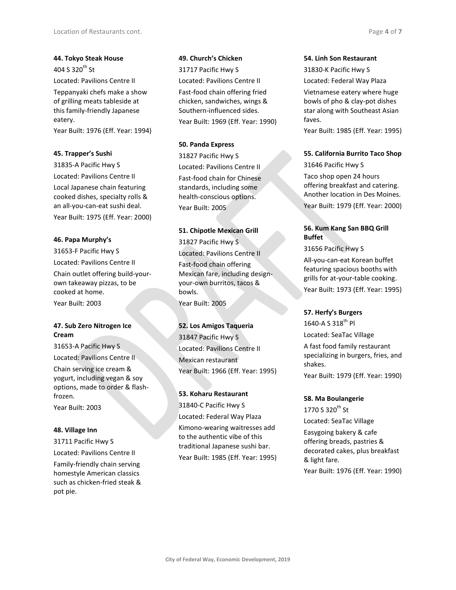**44. Tokyo Steak House** 404 S 320 $th$  St Located: Pavilions Centre II Teppanyaki chefs make a show

of grilling meats tableside at this family-friendly Japanese eatery.

Year Built: 1976 (Eff. Year: 1994)

### **45. Trapper's Sushi**

31835-A Pacific Hwy S Located: Pavilions Centre II Local Japanese chain featuring cooked dishes, specialty rolls & an all-you-can-eat sushi deal. Year Built: 1975 (Eff. Year: 2000)

### **46. Papa Murphy's**

31653-F Pacific Hwy S Located: Pavilions Centre II Chain outlet offering build-yourown takeaway pizzas, to be cooked at home. Year Built: 2003

### **47. Sub Zero Nitrogen Ice Cream**

31653-A Pacific Hwy S

Located: Pavilions Centre II

Chain serving ice cream & yogurt, including vegan & soy options, made to order & flashfrozen.

Year Built: 2003

### **48. Village Inn**

31711 Pacific Hwy S

Located: Pavilions Centre II

Family-friendly chain serving homestyle American classics such as chicken-fried steak & pot pie.

#### **49. Church's Chicken**

31717 Pacific Hwy S Located: Pavilions Centre II Fast-food chain offering fried chicken, sandwiches, wings & Southern-influenced sides. Year Built: 1969 (Eff. Year: 1990)

#### **50. Panda Express**

31827 Pacific Hwy S Located: Pavilions Centre II

Fast-food chain for Chinese standards, including some health-conscious options. Year Built: 2005

### **51. Chipotle Mexican Grill**

31827 Pacific Hwy S

Located: Pavilions Centre II Fast-food chain offering Mexican fare, including designyour-own burritos, tacos & bowls. Year Built: 2005

### **52. Los Amigos Taqueria**

31847 Pacific Hwy S Located: Pavilions Centre II Mexican restaurant Year Built: 1966 (Eff. Year: 1995)

### **53. Koharu Restaurant**

31840-C Pacific Hwy S Located: Federal Way Plaza Kimono-wearing waitresses add to the authentic vibe of this traditional Japanese sushi bar. Year Built: 1985 (Eff. Year: 1995)

#### **54. Linh Son Restaurant**

31830-K Pacific Hwy S Located: Federal Way Plaza Vietnamese eatery where huge bowls of pho & clay-pot dishes star along with Southeast Asian faves.

Year Built: 1985 (Eff. Year: 1995)

### **55. California Burrito Taco Shop**

31646 Pacific Hwy S

Taco shop open 24 hours offering breakfast and catering. Another location in Des Moines.

Year Built: 1979 (Eff. Year: 2000)

### **56. Kum Kang San BBQ Grill Buffet**

31656 Pacific Hwy S

All-you-can-eat Korean buffet featuring spacious booths with grills for at-your-table cooking.

Year Built: 1973 (Eff. Year: 1995)

### **57. Herfy's Burgers**

1640-A S 318<sup>th</sup> Pl Located: SeaTac Village A fast food family restaurant specializing in burgers, fries, and shakes. Year Built: 1979 (Eff. Year: 1990)

#### **58. Ma Boulangerie**

1770 S 320<sup>th</sup> St Located: SeaTac Village Easygoing bakery & cafe offering breads, pastries & decorated cakes, plus breakfast & light fare. Year Built: 1976 (Eff. Year: 1990)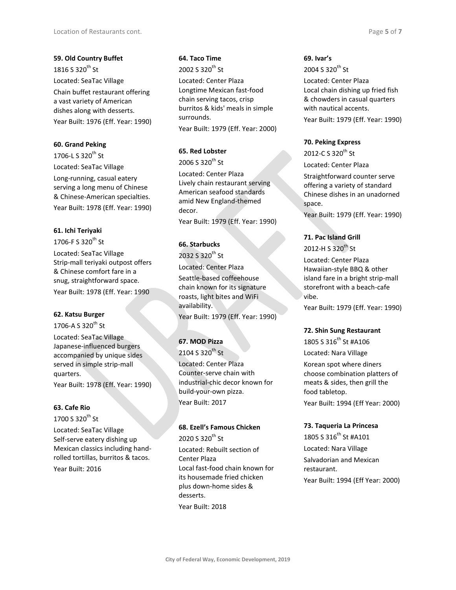**59. Old Country Buffet** 1816 S 320<sup>th</sup> St Located: SeaTac Village Chain buffet restaurant offering a vast variety of American dishes along with desserts. Year Built: 1976 (Eff. Year: 1990)

### **60. Grand Peking**

1706-L S 320<sup>th</sup> St Located: SeaTac Village

Long-running, casual eatery serving a long menu of Chinese & Chinese-American specialties.

Year Built: 1978 (Eff. Year: 1990)

#### **61. Ichi Teriyaki**

1706-F S 320 $^{\rm th}$  St

Located: SeaTac Village Strip-mall teriyaki outpost offers & Chinese comfort fare in a snug, straightforward space.

Year Built: 1978 (Eff. Year: 1990

#### **62. Katsu Burger**

1706-A S 320<sup>th</sup> St

Located: SeaTac Village Japanese-influenced burgers accompanied by unique sides served in simple strip-mall quarters. Year Built: 1978 (Eff. Year: 1990)

### **63. Cafe Rio**

1700 S 320<sup>th</sup> St

Located: SeaTac Village Self-serve eatery dishing up Mexican classics including handrolled tortillas, burritos & tacos.

Year Built: 2016

# **64. Taco Time**

2002 S 320<sup>th</sup> St

Located: Center Plaza Longtime Mexican fast-food chain serving tacos, crisp burritos & kids' meals in simple surrounds.

Year Built: 1979 (Eff. Year: 2000)

### **65. Red Lobster**

 $2006S320^{th}$  St

Located: Center Plaza Lively chain restaurant serving American seafood standards amid New England-themed decor.

Year Built: 1979 (Eff. Year: 1990)

#### **66. Starbucks**

2032 S 320<sup>th</sup> St Located: Center Plaza Seattle-based coffeehouse chain known for its signature roasts, light bites and WiFi availability. Year Built: 1979 (Eff. Year: 1990)

### **67. MOD Pizza**

 $2104S320^{th}$  St

Located: Center Plaza Counter-serve chain with industrial-chic decor known for build-your-own pizza. Year Built: 2017

### **68. Ezell's Famous Chicken** 2020 S 320<sup>th</sup> St

Located: Rebuilt section of Center Plaza Local fast-food chain known for its housemade fried chicken plus down-home sides & desserts. Year Built: 2018

### **69. Ivar's**

 $2004S320^{th}$  St Located: Center Plaza Local chain dishing up fried fish & chowders in casual quarters with nautical accents. Year Built: 1979 (Eff. Year: 1990)

#### **70. Peking Express**

2012-C S 320<sup>th</sup> St Located: Center Plaza

Straightforward counter serve offering a variety of standard Chinese dishes in an unadorned space.

Year Built: 1979 (Eff. Year: 1990)

### **71. Pac Island Grill**

 $2012 - H S 320$ <sup>th</sup> St

Located: Center Plaza Hawaiian-style BBQ & other island fare in a bright strip-mall storefront with a beach-cafe vibe.

Year Built: 1979 (Eff. Year: 1990)

#### **72. Shin Sung Restaurant**

1805 S 316<sup>th</sup> St #A106 Located: Nara Village

Korean spot where diners choose combination platters of meats & sides, then grill the food tabletop. Year Built: 1994 (Eff Year: 2000)

### **73. Taqueria La Princesa**

1805 S 316<sup>th</sup> St #A101 Located: Nara Village Salvadorian and Mexican restaurant. Year Built: 1994 (Eff Year: 2000)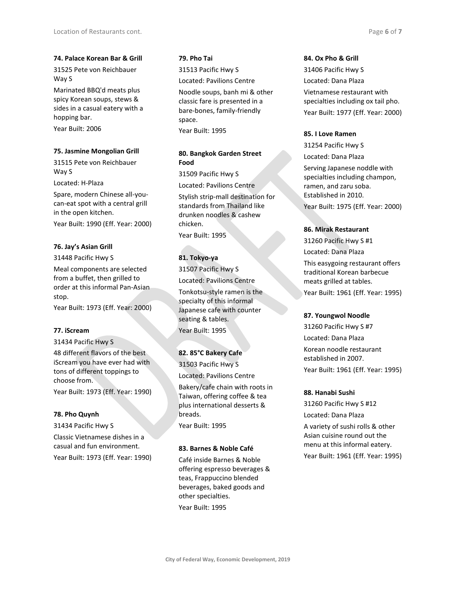#### **74. Palace Korean Bar & Grill**

31525 Pete von Reichbauer Way S

Marinated BBQ'd meats plus spicy Korean soups, stews & sides in a casual eatery with a hopping bar.

Year Built: 2006

### **75. Jasmine Mongolian Grill**

31515 Pete von Reichbauer Way S

Located: H-Plaza

Spare, modern Chinese all-youcan-eat spot with a central grill in the open kitchen.

Year Built: 1990 (Eff. Year: 2000)

### **76. Jay's Asian Grill**

31448 Pacific Hwy S

Meal components are selected from a buffet, then grilled to order at this informal Pan-Asian stop.

Year Built: 1973 (Eff. Year: 2000)

### **77. iScream**

31434 Pacific Hwy S

48 different flavors of the best iScream you have ever had with tons of different toppings to choose from.

Year Built: 1973 (Eff. Year: 1990)

#### **78. Pho Quynh**

31434 Pacific Hwy S

Classic Vietnamese dishes in a casual and fun environment. Year Built: 1973 (Eff. Year: 1990)

### **79. Pho Tai**

31513 Pacific Hwy S Located: Pavilions Centre Noodle soups, banh mi & other classic fare is presented in a bare-bones, family-friendly space.

Year Built: 1995

### **80. Bangkok Garden Street Food**

31509 Pacific Hwy S Located: Pavilions Centre Stylish strip-mall destination for standards from Thailand like drunken noodles & cashew chicken. Year Built: 1995

**81. Tokyo-ya**

31507 Pacific Hwy S Located: Pavilions Centre

Tonkotsu-style ramen is the specialty of this informal Japanese cafe with counter seating & tables. Year Built: 1995

### **82. 85°C Bakery Cafe**

31503 Pacific Hwy S Located: Pavilions Centre Bakery/cafe chain with roots in Taiwan, offering coffee & tea plus international desserts & breads. Year Built: 1995

### **83. Barnes & Noble Café**

Café inside Barnes & Noble offering espresso beverages & teas, Frappuccino blended beverages, baked goods and other specialties.

Year Built: 1995

### **84. Ox Pho & Grill**

31406 Pacific Hwy S Located: Dana Plaza Vietnamese restaurant with specialties including ox tail pho. Year Built: 1977 (Eff. Year: 2000)

### **85. I Love Ramen**

31254 Pacific Hwy S Located: Dana Plaza Serving Japanese noddle with specialties including champon, ramen, and zaru soba. Established in 2010. Year Built: 1975 (Eff. Year: 2000)

### **86. Mirak Restaurant**

31260 Pacific Hwy S #1

Located: Dana Plaza

This easygoing restaurant offers traditional Korean barbecue meats grilled at tables. Year Built: 1961 (Eff. Year: 1995)

#### **87. Youngwol Noodle**

31260 Pacific Hwy S #7 Located: Dana Plaza Korean noodle restaurant established in 2007. Year Built: 1961 (Eff. Year: 1995)

#### **88. Hanabi Sushi**

31260 Pacific Hwy S #12 Located: Dana Plaza

A variety of sushi rolls & other Asian cuisine round out the menu at this informal eatery.

Year Built: 1961 (Eff. Year: 1995)